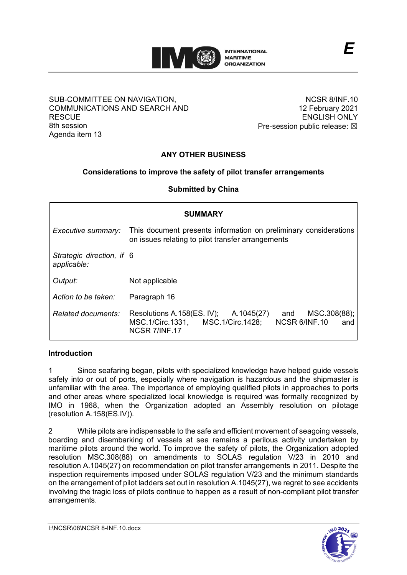

#### SUB-COMMITTEE ON NAVIGATION, COMMUNICATIONS AND SEARCH AND **RESCUE** 8th session Agenda item 13

NCSR 8/INF.10 12 February 2021 ENGLISH ONLY Pre-session public release:  $\boxtimes$ 

*E*

# **ANY OTHER BUSINESS**

### **Considerations to improve the safety of pilot transfer arrangements**

**Submitted by China**

| <b>SUMMARY</b>                           |                                                                                                                                               |
|------------------------------------------|-----------------------------------------------------------------------------------------------------------------------------------------------|
| Executive summary:                       | This document presents information on preliminary considerations<br>on issues relating to pilot transfer arrangements                         |
| Strategic direction, if 6<br>applicable: |                                                                                                                                               |
| Output:                                  | Not applicable                                                                                                                                |
| Action to be taken:                      | Paragraph 16                                                                                                                                  |
| Related documents:                       | MSC.308(88);<br>Resolutions A.158(ES. IV);<br>A.1045(27)<br>and<br>MSC.1/Circ.1331, MSC.1/Circ.1428;<br>NCSR 6/INF.10<br>and<br>NCSR 7/INF.17 |

### **Introduction**

1 Since seafaring began, pilots with specialized knowledge have helped guide vessels safely into or out of ports, especially where navigation is hazardous and the shipmaster is unfamiliar with the area. The importance of employing qualified pilots in approaches to ports and other areas where specialized local knowledge is required was formally recognized by IMO in 1968, when the Organization adopted an Assembly resolution on pilotage (resolution A.158(ES.IV)).

2 While pilots are indispensable to the safe and efficient movement of seagoing vessels, boarding and disembarking of vessels at sea remains a perilous activity undertaken by maritime pilots around the world. To improve the safety of pilots, the Organization adopted resolution MSC.308(88) on amendments to SOLAS regulation V/23 in 2010 and resolution A.1045(27) on recommendation on pilot transfer arrangements in 2011. Despite the inspection requirements imposed under SOLAS regulation V/23 and the minimum standards on the arrangement of pilot ladders set out in resolution A.1045(27), we regret to see accidents involving the tragic loss of pilots continue to happen as a result of non-compliant pilot transfer arrangements.

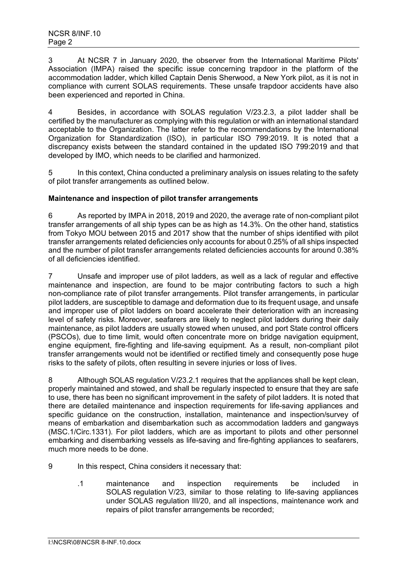3 At NCSR 7 in January 2020, the observer from the International Maritime Pilots' Association (IMPA) raised the specific issue concerning trapdoor in the platform of the accommodation ladder, which killed Captain Denis Sherwood, a New York pilot, as it is not in compliance with current SOLAS requirements. These unsafe trapdoor accidents have also been experienced and reported in China.

4 Besides, in accordance with SOLAS regulation V/23.2.3, a pilot ladder shall be certified by the manufacturer as complying with this regulation or with an international standard acceptable to the Organization. The latter refer to the recommendations by the International Organization for Standardization (ISO), in particular ISO 799:2019. It is noted that a discrepancy exists between the standard contained in the updated ISO 799:2019 and that developed by IMO, which needs to be clarified and harmonized.

5 In this context, China conducted a preliminary analysis on issues relating to the safety of pilot transfer arrangements as outlined below.

### **Maintenance and inspection of pilot transfer arrangements**

6 As reported by IMPA in 2018, 2019 and 2020, the average rate of non-compliant pilot transfer arrangements of all ship types can be as high as 14.3%. On the other hand, statistics from Tokyo MOU between 2015 and 2017 show that the number of ships identified with pilot transfer arrangements related deficiencies only accounts for about 0.25% of all ships inspected and the number of pilot transfer arrangements related deficiencies accounts for around 0.38% of all deficiencies identified.

7 Unsafe and improper use of pilot ladders, as well as a lack of regular and effective maintenance and inspection, are found to be major contributing factors to such a high non-compliance rate of pilot transfer arrangements. Pilot transfer arrangements, in particular pilot ladders, are susceptible to damage and deformation due to its frequent usage, and unsafe and improper use of pilot ladders on board accelerate their deterioration with an increasing level of safety risks. Moreover, seafarers are likely to neglect pilot ladders during their daily maintenance, as pilot ladders are usually stowed when unused, and port State control officers (PSCOs), due to time limit, would often concentrate more on bridge navigation equipment, engine equipment, fire-fighting and life-saving equipment. As a result, non-compliant pilot transfer arrangements would not be identified or rectified timely and consequently pose huge risks to the safety of pilots, often resulting in severe injuries or loss of lives.

8 Although SOLAS regulation V/23.2.1 requires that the appliances shall be kept clean, properly maintained and stowed, and shall be regularly inspected to ensure that they are safe to use, there has been no significant improvement in the safety of pilot ladders. It is noted that there are detailed maintenance and inspection requirements for life-saving appliances and specific guidance on the construction, installation, maintenance and inspection/survey of means of embarkation and disembarkation such as accommodation ladders and gangways (MSC.1/Circ.1331). For pilot ladders, which are as important to pilots and other personnel embarking and disembarking vessels as life-saving and fire-fighting appliances to seafarers, much more needs to be done.

- 9 In this respect, China considers it necessary that:
	- .1 maintenance and inspection requirements be included in SOLAS regulation V/23, similar to those relating to life-saving appliances under SOLAS regulation III/20, and all inspections, maintenance work and repairs of pilot transfer arrangements be recorded;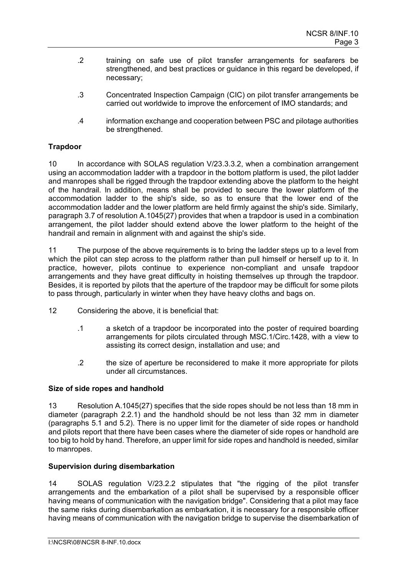- .2 training on safe use of pilot transfer arrangements for seafarers be strengthened, and best practices or guidance in this regard be developed, if necessary;
- .3 Concentrated Inspection Campaign (CIC) on pilot transfer arrangements be carried out worldwide to improve the enforcement of IMO standards; and
- .4 information exchange and cooperation between PSC and pilotage authorities be strengthened.

## **Trapdoor**

10 In accordance with SOLAS regulation V/23.3.3.2, when a combination arrangement using an accommodation ladder with a trapdoor in the bottom platform is used, the pilot ladder and manropes shall be rigged through the trapdoor extending above the platform to the height of the handrail. In addition, means shall be provided to secure the lower platform of the accommodation ladder to the ship's side, so as to ensure that the lower end of the accommodation ladder and the lower platform are held firmly against the ship's side. Similarly, paragraph 3.7 of resolution A.1045(27) provides that when a trapdoor is used in a combination arrangement, the pilot ladder should extend above the lower platform to the height of the handrail and remain in alignment with and against the ship's side.

11 The purpose of the above requirements is to bring the ladder steps up to a level from which the pilot can step across to the platform rather than pull himself or herself up to it. In practice, however, pilots continue to experience non-compliant and unsafe trapdoor arrangements and they have great difficulty in hoisting themselves up through the trapdoor. Besides, it is reported by pilots that the aperture of the trapdoor may be difficult for some pilots to pass through, particularly in winter when they have heavy cloths and bags on.

- 12 Considering the above, it is beneficial that:
	- .1 a sketch of a trapdoor be incorporated into the poster of required boarding arrangements for pilots circulated through MSC.1/Circ.1428, with a view to assisting its correct design, installation and use; and
	- .2 the size of aperture be reconsidered to make it more appropriate for pilots under all circumstances.

### **Size of side ropes and handhold**

13 Resolution A.1045(27) specifies that the side ropes should be not less than 18 mm in diameter (paragraph 2.2.1) and the handhold should be not less than 32 mm in diameter (paragraphs 5.1 and 5.2). There is no upper limit for the diameter of side ropes or handhold and pilots report that there have been cases where the diameter of side ropes or handhold are too big to hold by hand. Therefore, an upper limit for side ropes and handhold is needed, similar to manropes.

### **Supervision during disembarkation**

14 SOLAS regulation V/23.2.2 stipulates that "the rigging of the pilot transfer arrangements and the embarkation of a pilot shall be supervised by a responsible officer having means of communication with the navigation bridge". Considering that a pilot may face the same risks during disembarkation as embarkation, it is necessary for a responsible officer having means of communication with the navigation bridge to supervise the disembarkation of